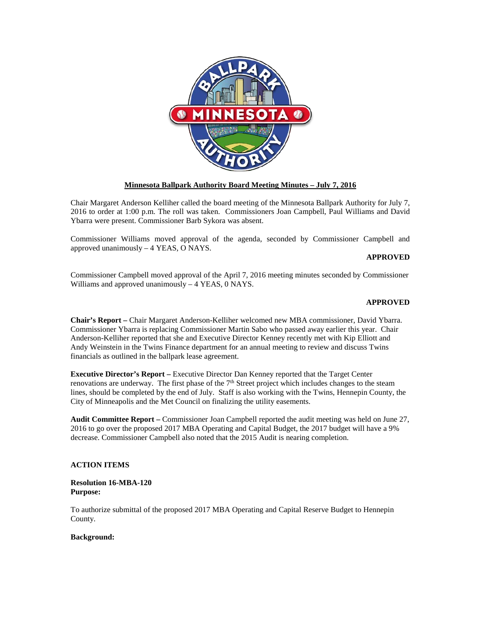

### **Minnesota Ballpark Authority Board Meeting Minutes – July 7, 2016**

Chair Margaret Anderson Kelliher called the board meeting of the Minnesota Ballpark Authority for July 7, 2016 to order at 1:00 p.m. The roll was taken. Commissioners Joan Campbell, Paul Williams and David Ybarra were present. Commissioner Barb Sykora was absent.

Commissioner Williams moved approval of the agenda, seconded by Commissioner Campbell and approved unanimously – 4 YEAS, O NAYS.

### **APPROVED**

Commissioner Campbell moved approval of the April 7, 2016 meeting minutes seconded by Commissioner Williams and approved unanimously – 4 YEAS, 0 NAYS.

### **APPROVED**

**Chair's Report –** Chair Margaret Anderson-Kelliher welcomed new MBA commissioner, David Ybarra. Commissioner Ybarra is replacing Commissioner Martin Sabo who passed away earlier this year. Chair Anderson-Kelliher reported that she and Executive Director Kenney recently met with Kip Elliott and Andy Weinstein in the Twins Finance department for an annual meeting to review and discuss Twins financials as outlined in the ballpark lease agreement.

**Executive Director's Report –** Executive Director Dan Kenney reported that the Target Center renovations are underway. The first phase of the  $7<sup>th</sup>$  Street project which includes changes to the steam lines, should be completed by the end of July. Staff is also working with the Twins, Hennepin County, the City of Minneapolis and the Met Council on finalizing the utility easements.

**Audit Committee Report –** Commissioner Joan Campbell reported the audit meeting was held on June 27, 2016 to go over the proposed 2017 MBA Operating and Capital Budget, the 2017 budget will have a 9% decrease. Commissioner Campbell also noted that the 2015 Audit is nearing completion.

#### **ACTION ITEMS**

**Resolution 16-MBA-120 Purpose:**

To authorize submittal of the proposed 2017 MBA Operating and Capital Reserve Budget to Hennepin County.

#### **Background:**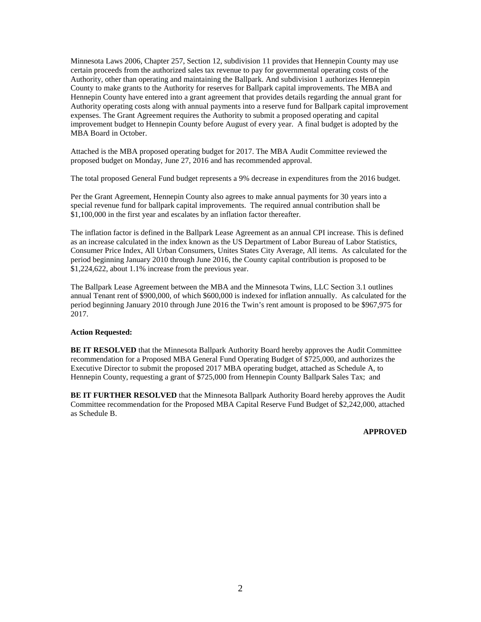Minnesota Laws 2006, Chapter 257, Section 12, subdivision 11 provides that Hennepin County may use certain proceeds from the authorized sales tax revenue to pay for governmental operating costs of the Authority, other than operating and maintaining the Ballpark. And subdivision 1 authorizes Hennepin County to make grants to the Authority for reserves for Ballpark capital improvements. The MBA and Hennepin County have entered into a grant agreement that provides details regarding the annual grant for Authority operating costs along with annual payments into a reserve fund for Ballpark capital improvement expenses. The Grant Agreement requires the Authority to submit a proposed operating and capital improvement budget to Hennepin County before August of every year. A final budget is adopted by the MBA Board in October.

Attached is the MBA proposed operating budget for 2017. The MBA Audit Committee reviewed the proposed budget on Monday, June 27, 2016 and has recommended approval.

The total proposed General Fund budget represents a 9% decrease in expenditures from the 2016 budget.

Per the Grant Agreement, Hennepin County also agrees to make annual payments for 30 years into a special revenue fund for ballpark capital improvements. The required annual contribution shall be \$1,100,000 in the first year and escalates by an inflation factor thereafter.

The inflation factor is defined in the Ballpark Lease Agreement as an annual CPI increase. This is defined as an increase calculated in the index known as the US Department of Labor Bureau of Labor Statistics, Consumer Price Index, All Urban Consumers, Unites States City Average, All items. As calculated for the period beginning January 2010 through June 2016, the County capital contribution is proposed to be \$1,224,622, about 1.1% increase from the previous year.

The Ballpark Lease Agreement between the MBA and the Minnesota Twins, LLC Section 3.1 outlines annual Tenant rent of \$900,000, of which \$600,000 is indexed for inflation annually. As calculated for the period beginning January 2010 through June 2016 the Twin's rent amount is proposed to be \$967,975 for 2017.

### **Action Requested:**

**BE IT RESOLVED** that the Minnesota Ballpark Authority Board hereby approves the Audit Committee recommendation for a Proposed MBA General Fund Operating Budget of \$725,000, and authorizes the Executive Director to submit the proposed 2017 MBA operating budget, attached as Schedule A, to Hennepin County, requesting a grant of \$725,000 from Hennepin County Ballpark Sales Tax; and

**BE IT FURTHER RESOLVED** that the Minnesota Ballpark Authority Board hereby approves the Audit Committee recommendation for the Proposed MBA Capital Reserve Fund Budget of \$2,242,000, attached as Schedule B.

 **APPROVED**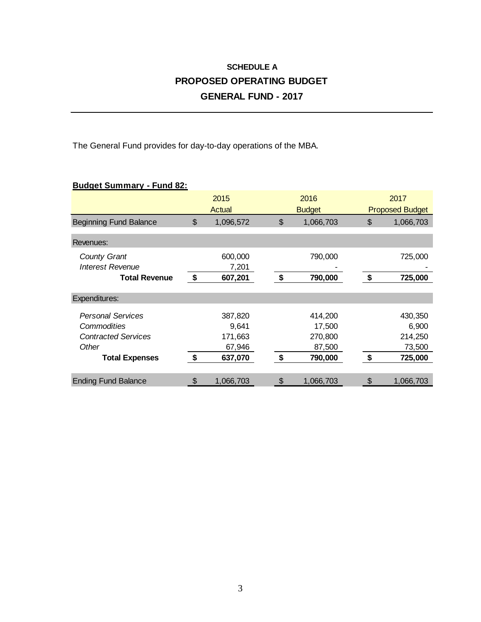# **SCHEDULE A PROPOSED OPERATING BUDGET GENERAL FUND - 2017**

The General Fund provides for day-to-day operations of the MBA.

### **Budget Summary - Fund 82:**

|                                                                                                         |                           | 2015<br>Actual                                   |                           | 2016<br><b>Budget</b>                             |               | 2017<br><b>Proposed Budget</b>                   |  |
|---------------------------------------------------------------------------------------------------------|---------------------------|--------------------------------------------------|---------------------------|---------------------------------------------------|---------------|--------------------------------------------------|--|
| <b>Beginning Fund Balance</b>                                                                           | $\boldsymbol{\mathsf{S}}$ | 1,096,572                                        | $\boldsymbol{\mathsf{S}}$ | 1,066,703                                         | $\mathcal{L}$ | 1,066,703                                        |  |
| Revenues:                                                                                               |                           |                                                  |                           |                                                   |               |                                                  |  |
| <b>County Grant</b><br><b>Interest Revenue</b>                                                          |                           | 600,000<br>7,201                                 |                           | 790,000                                           |               | 725,000                                          |  |
| <b>Total Revenue</b>                                                                                    | $\boldsymbol{\mathsf{s}}$ | 607,201                                          | \$                        | 790,000                                           | \$            | 725,000                                          |  |
| Expenditures:                                                                                           |                           |                                                  |                           |                                                   |               |                                                  |  |
| <b>Personal Services</b><br>Commodities<br><b>Contracted Services</b><br>Other<br><b>Total Expenses</b> | \$                        | 387,820<br>9.641<br>171,663<br>67,946<br>637,070 | \$                        | 414,200<br>17,500<br>270,800<br>87,500<br>790,000 | \$            | 430,350<br>6,900<br>214,250<br>73,500<br>725,000 |  |
| <b>Ending Fund Balance</b>                                                                              | \$                        | 1,066,703                                        | \$                        | 1,066,703                                         | \$            | 1,066,703                                        |  |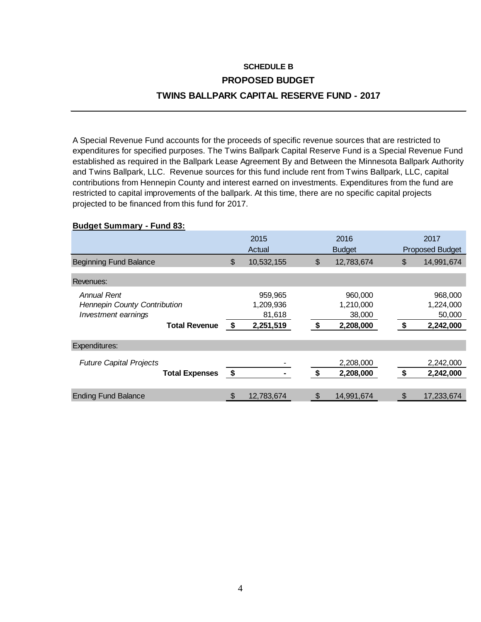## **SCHEDULE B PROPOSED BUDGET TWINS BALLPARK CAPITAL RESERVE FUND - 2017**

A Special Revenue Fund accounts for the proceeds of specific revenue sources that are restricted to expenditures for specified purposes. The Twins Ballpark Capital Reserve Fund is a Special Revenue Fund established as required in the Ballpark Lease Agreement By and Between the Minnesota Ballpark Authority and Twins Ballpark, LLC. Revenue sources for this fund include rent from Twins Ballpark, LLC, capital contributions from Hennepin County and interest earned on investments. Expenditures from the fund are restricted to capital improvements of the ballpark. At this time, there are no specific capital projects projected to be financed from this fund for 2017.

### **Budget Summary - Fund 83:**

|                                                                                                   |                           | 2015<br>Actual                              | 2016<br><b>Budget</b>                             |     | 2017<br><b>Proposed Budget</b>              |
|---------------------------------------------------------------------------------------------------|---------------------------|---------------------------------------------|---------------------------------------------------|-----|---------------------------------------------|
| <b>Beginning Fund Balance</b>                                                                     | $\boldsymbol{\mathsf{S}}$ | 10,532,155                                  | \$<br>12,783,674                                  | \$  | 14,991,674                                  |
| Revenues:                                                                                         |                           |                                             |                                                   |     |                                             |
| Annual Rent<br><b>Hennepin County Contribution</b><br>Investment earnings<br><b>Total Revenue</b> | $\sqrt{3}$                | 959,965<br>1,209,936<br>81,618<br>2,251,519 | \$<br>960,000<br>1,210,000<br>38,000<br>2,208,000 | -\$ | 968,000<br>1,224,000<br>50,000<br>2,242,000 |
| Expenditures:                                                                                     |                           |                                             |                                                   |     |                                             |
| <b>Future Capital Projects</b><br><b>Total Expenses</b>                                           | $\sqrt{3}$                |                                             | \$<br>2,208,000<br>2,208,000                      | \$  | 2,242,000<br>2,242,000                      |
| <b>Ending Fund Balance</b>                                                                        | \$                        | 12,783,674                                  | \$<br>14,991,674                                  | \$  | 17,233,674                                  |